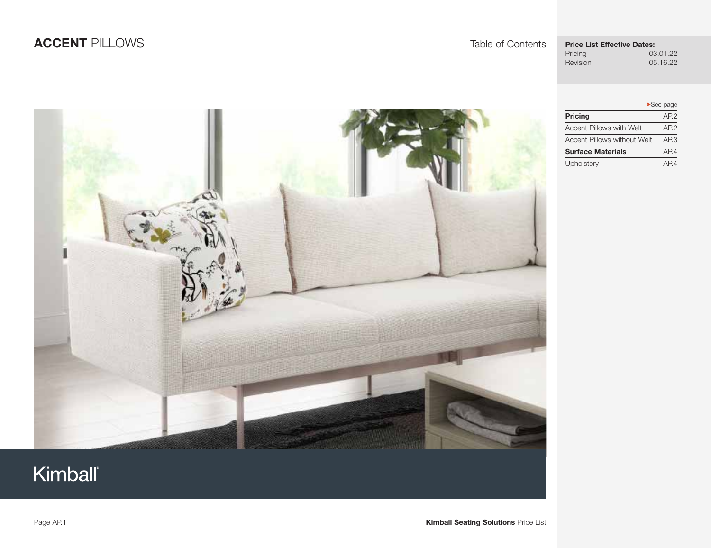## **ACCENT** PILLOWS Table of Contents

# **Price List Effective Dates:**<br>Pricing 03

05.16.22

Pricing 03.01.22<br>Revision 05.16.22

|                                    | $\blacktriangleright$ See page |
|------------------------------------|--------------------------------|
| Pricing                            | AP.2                           |
| <b>Accent Pillows with Welt</b>    | AP.2                           |
| <b>Accent Pillows without Welt</b> | AP3                            |
| <b>Surface Materials</b>           | AP.4                           |
| Upholstery                         | AP4                            |

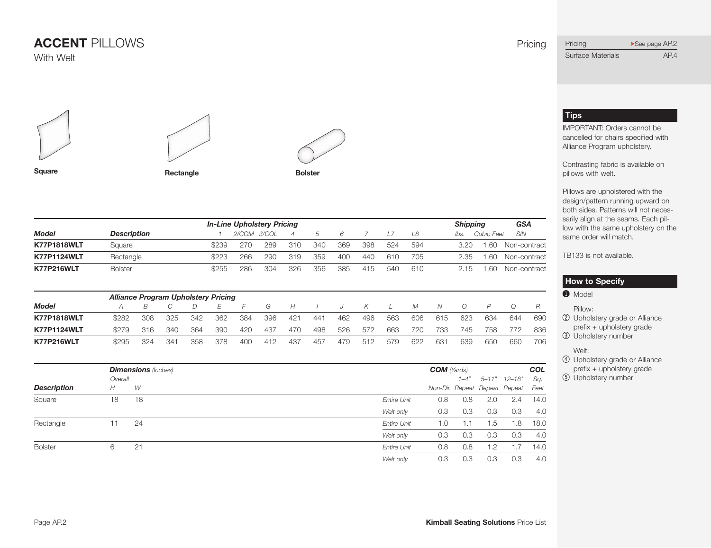





**Square Rectangle Bolster** 



| <b>Dimensions</b> (Inches) |         |                |                    | <b>COM</b> (Yards) |      |     | COL                           |      |
|----------------------------|---------|----------------|--------------------|--------------------|------|-----|-------------------------------|------|
|                            | Overall |                |                    |                    | 1–4" |     | 5-11" 12-18"                  | Sa.  |
| <b>Description</b>         | H       | W              |                    |                    |      |     | Non-Dir. Repeat Repeat Repeat | Feet |
| Square                     | 18      | 18             | <b>Entire Unit</b> | 0.8                | 0.8  | 2.0 | 2.4                           | 14.0 |
|                            |         |                | Welt only          | 0.3                | 0.3  | 0.3 | 0.3                           | 4.0  |
| Rectangle                  | 11      | 24             | <b>Entire Unit</b> | 1.0                | 1.1  | 1.5 | .8                            | 18.0 |
|                            |         |                | Welt only          | 0.3                | 0.3  | 0.3 | 0.3                           | 4.0  |
| <b>Bolster</b>             | 6       | 2 <sup>1</sup> | <b>Entire Unit</b> | 0.8                | 0.8  | 1.2 |                               | 14.0 |
|                            |         |                | Welt only          | 0.3                | 0.3  | 0.3 | 0.3                           | 4.0  |

#### <span id="page-1-0"></span>Pricing ▶See page AP.2 Surface Materials **Page [AP.4](#page-3-0)**

#### **Tips**

IMPORTANT: Orders cannot be cancelled for chairs specified with Alliance Program upholstery.

Contrasting fabric is available on pillows with welt.

Pillows are upholstered with the design/pattern running upward on both sides. Patterns will not necessarily align at the seams. Each pillow with the same upholstery on the same order will match.

TB133 is not available.

#### **How to Specify**

#### **O** Model

Pillow:

- 2 Upholstery grade or Alliance prefix + upholstery grade
- 3 Upholstery number

Welt:

- 4 Upholstery grade or Alliance prefix + upholstery grade
- 5 Upholstery number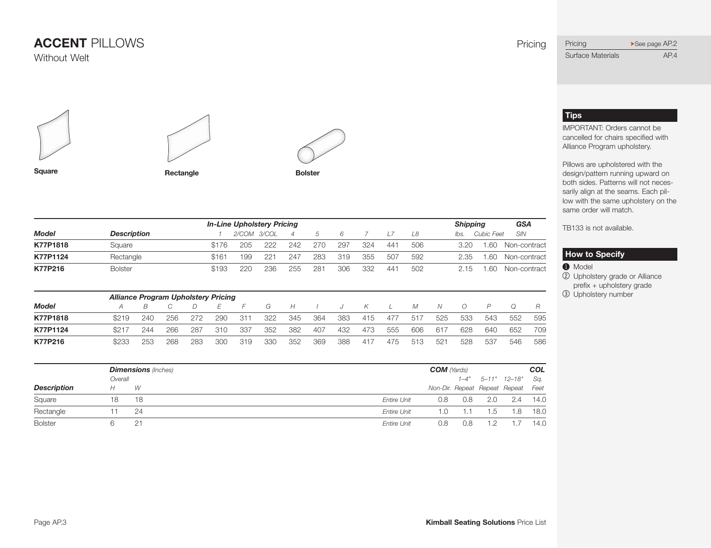





**Square Rectangle Bolster** 

 *In-Line Upholstery Pricing Shipping GSA Model Description 1 2/COM 3/COL 4 5 6 7 L7 L8 lbs. Cubic Feet SIN* **K77P1818** Square  $$176$  205 222 242 270 297 324 441 506 3.20 1.60 Non-contract **K77P1124** Rectangle **\$161 199 221 247 283 319 355 507 592** 2.35 1.60 Non-contract **K77P216** Bolster \$ 193 220 236 255 281 306 332 441 502 2.15 1.60 Non-contract  *Alliance Program Upholstery Pricing Model A B C D E F G H I J K L M N O P Q R* **K77P1818** \$ 219 240 256 272 290 311 322 345 364 383 415 477 517 525 533 543 552 595 **K77P1124** \$ 217 244 266 287 310 337 352 382 407 432 473 555 606 617 628 640 652 709 **K77P216** \$ 233 253 268 283 300 319 330 352 369 388 417 475 513 521 528 537 546 586

|                    |         | <b>Dimensions</b> (Inches) |                           | <b>COM</b> (Yards)                 |     |                       | COL  |  |
|--------------------|---------|----------------------------|---------------------------|------------------------------------|-----|-----------------------|------|--|
|                    | Overall |                            |                           |                                    |     | $1-4"$ 5-11" $12-18"$ | Sq.  |  |
| <b>Description</b> |         | W                          |                           | Non-Dir. Repeat Repeat Repeat Feet |     |                       |      |  |
| Square             | 18      | 18                         | 0.8<br><b>Entire Unit</b> | 0.8                                | 2.0 | 2.4                   | 14.0 |  |
| Rectangle          |         | 24                         | Entire Unit<br>1.0        |                                    | 1.5 | 1.8                   | 18.0 |  |
| <b>Bolster</b>     |         | クォ                         | 0.8<br><b>Entire Unit</b> | 0.8                                |     |                       | 14.0 |  |

### <span id="page-2-0"></span>Pricing ▶See page AP.2 Surface Materials **Page [AP.4](#page-3-0)**

### **Tips**

IMPORTANT: Orders cannot be cancelled for chairs specified with Alliance Program upholstery.

Pillows are upholstered with the design/pattern running upward on both sides. Patterns will not necessarily align at the seams. Each pillow with the same upholstery on the same order will match.

TB133 is not available.

#### **How to Specify**

**O** Model

2 Upholstery grade or Alliance prefix + upholstery grade 3 Upholstery number